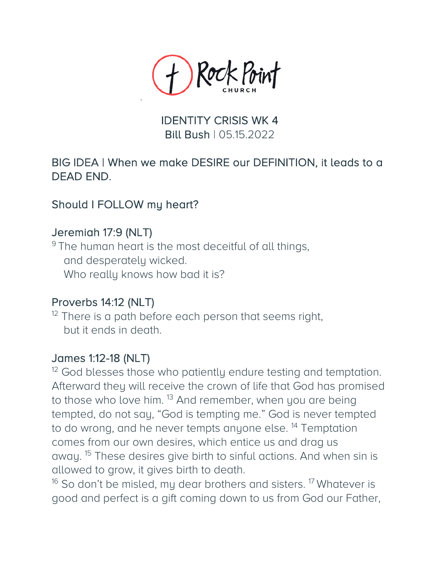

## IDENTITY CRISIS WK 4 Bill Bush | 05.15.2022

## BIG IDEA | When we make DESIRE our DEFINITION, it leads to a DEAD END.

### Should I FOLLOW my heart?

Jeremiah 17:9 (NLT)<br><sup>9</sup> The human heart is the most deceitful of all things, and desperately wicked. Who really knows how bad it is?

Proverbs 14:12 (NLT)<br><sup>12</sup> There is a path before each person that seems right, but it ends in death.

James 1:12-18 (NLT)<br><sup>12</sup> God blesses those who patiently endure testing and temptation. Afterward they will receive the crown of life that God has promised to those who love him. <sup>13</sup> And remember, when you are being tempted, do not say, "God is tempting me." God is never tempted to do wrong, and he never tempts anyone else.<sup>14</sup> Temptation comes from our own desires, which entice us and drag us away. <sup>15</sup> These desires give birth to sinful actions. And when sin is allowed to grow, it gives birth to death.

 $16$  So don't be misled, my dear brothers and sisters. <sup>17</sup> Whatever is good and perfect is a gift coming down to us from God our Father,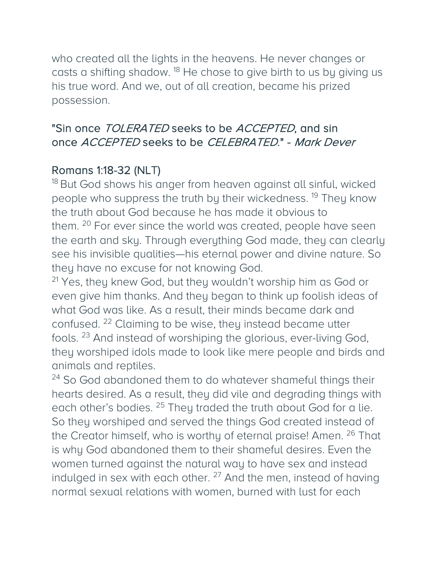who created all the lights in the heavens. He never changes or casts a shifting shadow.<sup>18</sup> He chose to give birth to us by giving us his true word. And we, out of all creation, became his prized possession.

# "Sin once TOLERATED seeks to be ACCEPTED, and sin once ACCEPTED seeks to be CELEBRATED." - Mark Dever

Romans 1:18-32 (NLT)<br><sup>18</sup> But God shows his anger from heaven against all sinful, wicked people who suppress the truth by their wickedness.<sup>19</sup> They know the truth about God because he has made it obvious to them. <sup>20</sup> For ever since the world was created, people have seen the earth and sky. Through everything God made, they can clearly see his invisible qualities—his eternal power and divine nature. So they have no excuse for not knowing God.

<sup>21</sup> Yes, they knew God, but they wouldn't worship him as God or even give him thanks. And they began to think up foolish ideas of what God was like. As a result, their minds became dark and confused. <sup>22</sup> Claiming to be wise, they instead became utter fools. <sup>23</sup> And instead of worshiping the glorious, ever-living God, they worshiped idols made to look like mere people and birds and animals and reptiles.

<sup>24</sup> So God abandoned them to do whatever shameful things their hearts desired. As a result, they did vile and degrading things with each other's bodies. <sup>25</sup> They traded the truth about God for a lie. So they worshiped and served the things God created instead of the Creator himself, who is worthy of eternal praise! Amen. <sup>26</sup> That is why God abandoned them to their shameful desires. Even the women turned against the natural way to have sex and instead indulged in sex with each other.  $27$  And the men, instead of having normal sexual relations with women, burned with lust for each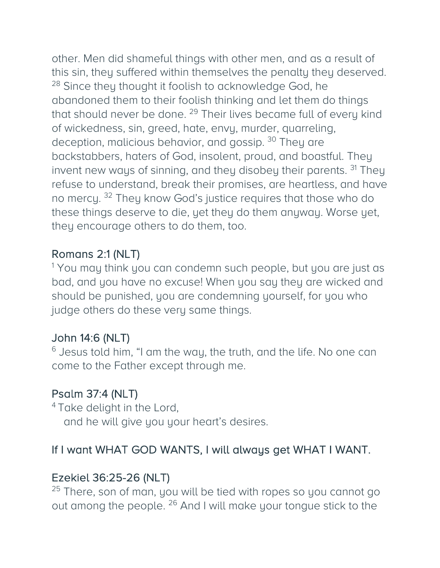other. Men did shameful things with other men, and as a result of this sin, they suffered within themselves the penalty they deserved. <sup>28</sup> Since they thought it foolish to acknowledge God, he abandoned them to their foolish thinking and let them do things that should never be done. <sup>29</sup> Their lives became full of every kind of wickedness, sin, greed, hate, envy, murder, quarreling, deception, malicious behavior, and gossip.<sup>30</sup> They are backstabbers, haters of God, insolent, proud, and boastful. They invent new ways of sinning, and they disobey their parents. <sup>31</sup> They refuse to understand, break their promises, are heartless, and have no mercy. <sup>32</sup> They know God's justice requires that those who do these things deserve to die, yet they do them anyway. Worse yet, they encourage others to do them, too.

Romans 2:1 (NLT)<br><sup>1</sup> You may think you can condemn such people, but you are just as bad, and you have no excuse! When you say they are wicked and should be punished, you are condemning yourself, for you who judge others do these very same things.

John 14:6 (NLT)<br><sup>6</sup> Jesus told him, "I am the way, the truth, and the life. No one can come to the Father except through me.

**Psalm 37:4 (NLT)**<br><sup>4</sup> Take delight in the Lord, and he will give you your heart's desires.

# If I want WHAT GOD WANTS, I will always get WHAT I WANT.

Ezekiel 36:25-26 (NLT)<br><sup>25</sup> There, son of man, you will be tied with ropes so you cannot go out among the people. <sup>26</sup> And I will make your tongue stick to the